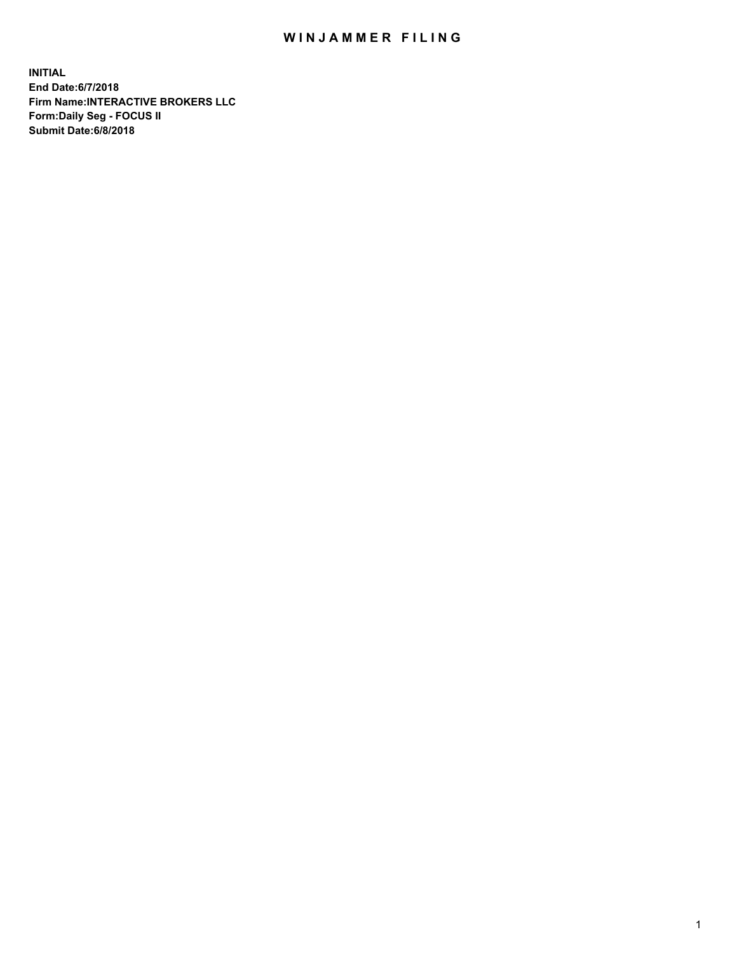## WIN JAMMER FILING

**INITIAL End Date:6/7/2018 Firm Name:INTERACTIVE BROKERS LLC Form:Daily Seg - FOCUS II Submit Date:6/8/2018**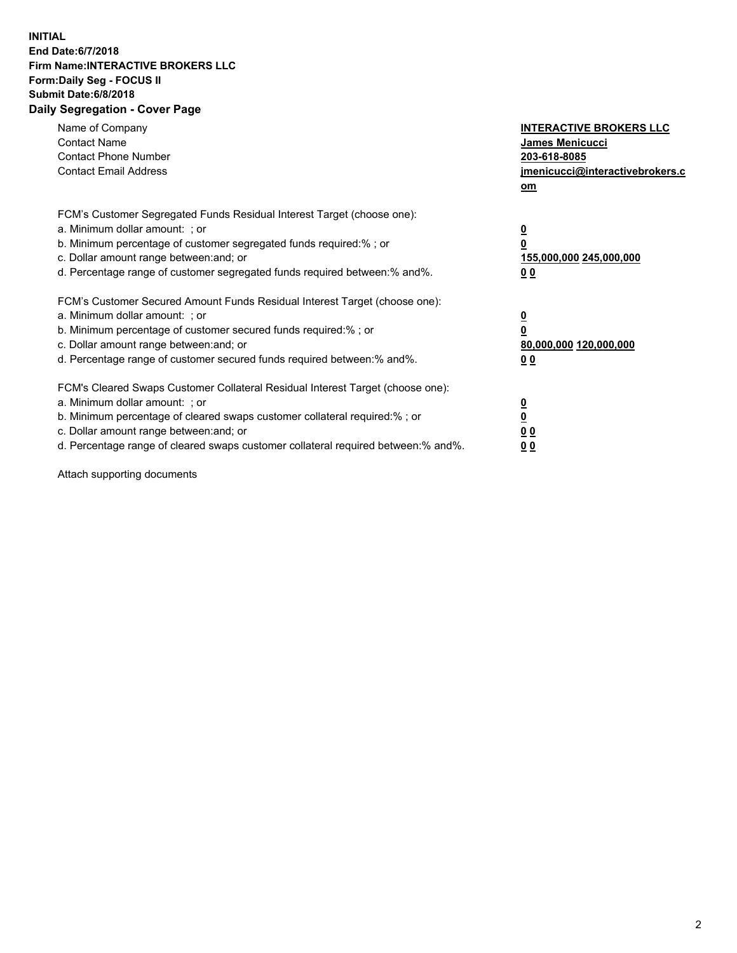## **INITIAL End Date:6/7/2018 Firm Name:INTERACTIVE BROKERS LLC Form:Daily Seg - FOCUS II Submit Date:6/8/2018 Daily Segregation - Cover Page**

| Name of Company<br><b>Contact Name</b><br><b>Contact Phone Number</b><br><b>Contact Email Address</b>                                                                                                                                                                                                                          | <b>INTERACTIVE BROKERS LLC</b><br><b>James Menicucci</b><br>203-618-8085<br>jmenicucci@interactivebrokers.c<br>om |
|--------------------------------------------------------------------------------------------------------------------------------------------------------------------------------------------------------------------------------------------------------------------------------------------------------------------------------|-------------------------------------------------------------------------------------------------------------------|
| FCM's Customer Segregated Funds Residual Interest Target (choose one):<br>a. Minimum dollar amount: ; or<br>b. Minimum percentage of customer segregated funds required:% ; or<br>c. Dollar amount range between: and; or<br>d. Percentage range of customer segregated funds required between: % and %.                       | $\overline{\mathbf{0}}$<br>0<br>155,000,000 245,000,000<br>00                                                     |
| FCM's Customer Secured Amount Funds Residual Interest Target (choose one):<br>a. Minimum dollar amount: ; or<br>b. Minimum percentage of customer secured funds required:%; or<br>c. Dollar amount range between: and; or<br>d. Percentage range of customer secured funds required between: % and %.                          | $\overline{\mathbf{0}}$<br>0<br>80,000,000 120,000,000<br>0 <sub>0</sub>                                          |
| FCM's Cleared Swaps Customer Collateral Residual Interest Target (choose one):<br>a. Minimum dollar amount: ; or<br>b. Minimum percentage of cleared swaps customer collateral required:% ; or<br>c. Dollar amount range between: and; or<br>d. Percentage range of cleared swaps customer collateral required between:% and%. | $\overline{\mathbf{0}}$<br>$\underline{\mathbf{0}}$<br>0 <sub>0</sub><br>0 <sub>0</sub>                           |

Attach supporting documents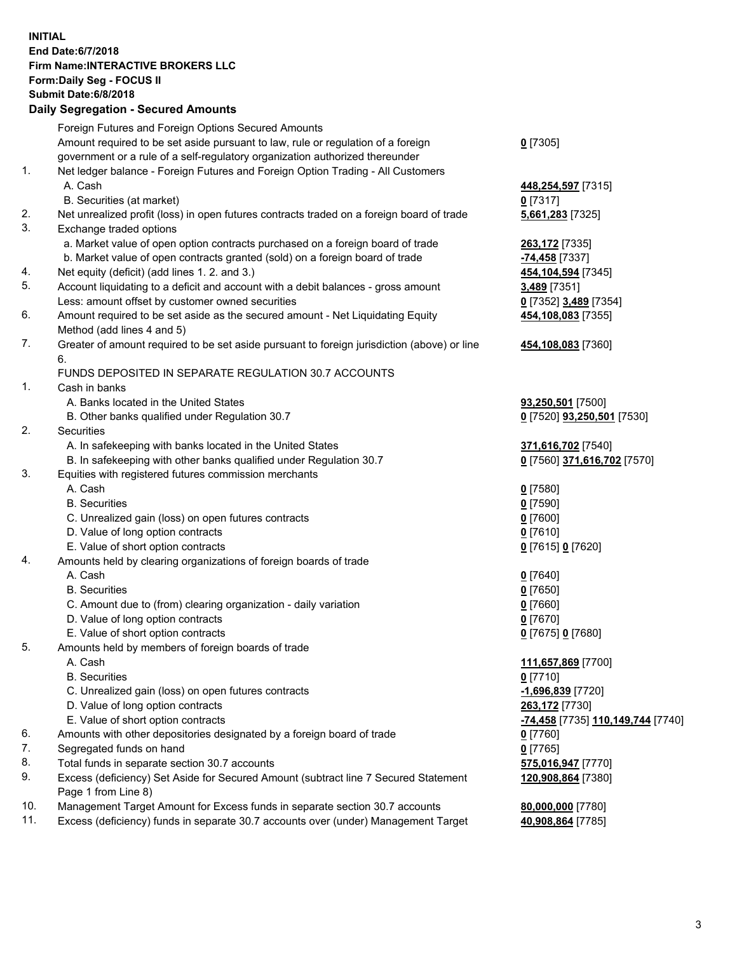## **INITIAL End Date:6/7/2018 Firm Name:INTERACTIVE BROKERS LLC Form:Daily Seg - FOCUS II Submit Date:6/8/2018 Daily Segregation - Secured Amounts**

|     | Foreign Futures and Foreign Options Secured Amounts                                         |                                                |
|-----|---------------------------------------------------------------------------------------------|------------------------------------------------|
|     | Amount required to be set aside pursuant to law, rule or regulation of a foreign            | $0$ [7305]                                     |
|     | government or a rule of a self-regulatory organization authorized thereunder                |                                                |
| 1.  | Net ledger balance - Foreign Futures and Foreign Option Trading - All Customers             |                                                |
|     | A. Cash                                                                                     | 448,254,597 [7315]                             |
|     | B. Securities (at market)                                                                   | $0$ [7317]                                     |
| 2.  | Net unrealized profit (loss) in open futures contracts traded on a foreign board of trade   | 5,661,283 [7325]                               |
| 3.  | Exchange traded options                                                                     |                                                |
|     | a. Market value of open option contracts purchased on a foreign board of trade              | 263,172 [7335]                                 |
|     | b. Market value of open contracts granted (sold) on a foreign board of trade                | -74,458 [7337]                                 |
| 4.  | Net equity (deficit) (add lines 1.2. and 3.)                                                | 454,104,594 [7345]                             |
| 5.  | Account liquidating to a deficit and account with a debit balances - gross amount           | 3,489 [7351]                                   |
|     | Less: amount offset by customer owned securities                                            | 0 [7352] 3,489 [7354]                          |
| 6.  | Amount required to be set aside as the secured amount - Net Liquidating Equity              | 454,108,083 [7355]                             |
|     | Method (add lines 4 and 5)                                                                  |                                                |
| 7.  |                                                                                             |                                                |
|     | Greater of amount required to be set aside pursuant to foreign jurisdiction (above) or line | 454,108,083 [7360]                             |
|     | 6.                                                                                          |                                                |
|     | FUNDS DEPOSITED IN SEPARATE REGULATION 30.7 ACCOUNTS                                        |                                                |
| 1.  | Cash in banks                                                                               |                                                |
|     | A. Banks located in the United States                                                       | 93,250,501 [7500]                              |
|     | B. Other banks qualified under Regulation 30.7                                              | 0 [7520] 93,250,501 [7530]                     |
| 2.  | Securities                                                                                  |                                                |
|     | A. In safekeeping with banks located in the United States                                   | 371,616,702 [7540]                             |
|     | B. In safekeeping with other banks qualified under Regulation 30.7                          | 0 [7560] 371,616,702 [7570]                    |
| 3.  | Equities with registered futures commission merchants                                       |                                                |
|     | A. Cash                                                                                     | $0$ [7580]                                     |
|     | <b>B.</b> Securities                                                                        | $0$ [7590]                                     |
|     | C. Unrealized gain (loss) on open futures contracts                                         | $0$ [7600]                                     |
|     | D. Value of long option contracts                                                           | $0$ [7610]                                     |
|     | E. Value of short option contracts                                                          | 0 [7615] 0 [7620]                              |
| 4.  | Amounts held by clearing organizations of foreign boards of trade                           |                                                |
|     | A. Cash                                                                                     | $0$ [7640]                                     |
|     | <b>B.</b> Securities                                                                        | $0$ [7650]                                     |
|     | C. Amount due to (from) clearing organization - daily variation                             | $0$ [7660]                                     |
|     | D. Value of long option contracts                                                           | $0$ [7670]                                     |
|     | E. Value of short option contracts                                                          | 0 [7675] 0 [7680]                              |
| 5.  | Amounts held by members of foreign boards of trade                                          |                                                |
|     | A. Cash                                                                                     | 111,657,869 [7700]                             |
|     | <b>B.</b> Securities                                                                        | $0$ [7710]                                     |
|     | C. Unrealized gain (loss) on open futures contracts                                         | $-1,696,839$ [7720]                            |
|     | D. Value of long option contracts                                                           | 263,172 [7730]                                 |
|     | E. Value of short option contracts                                                          | <mark>-74,458</mark> [7735] 110,149,744 [7740] |
| 6.  | Amounts with other depositories designated by a foreign board of trade                      | 0 [7760]                                       |
| 7.  | Segregated funds on hand                                                                    | $0$ [7765]                                     |
| 8.  | Total funds in separate section 30.7 accounts                                               | 575,016,947 [7770]                             |
| 9.  | Excess (deficiency) Set Aside for Secured Amount (subtract line 7 Secured Statement         | 120,908,864 [7380]                             |
|     | Page 1 from Line 8)                                                                         |                                                |
| 10. | Management Target Amount for Excess funds in separate section 30.7 accounts                 | 80,000,000 [7780]                              |
| 11. | Excess (deficiency) funds in separate 30.7 accounts over (under) Management Target          | 40,908,864 [7785]                              |
|     |                                                                                             |                                                |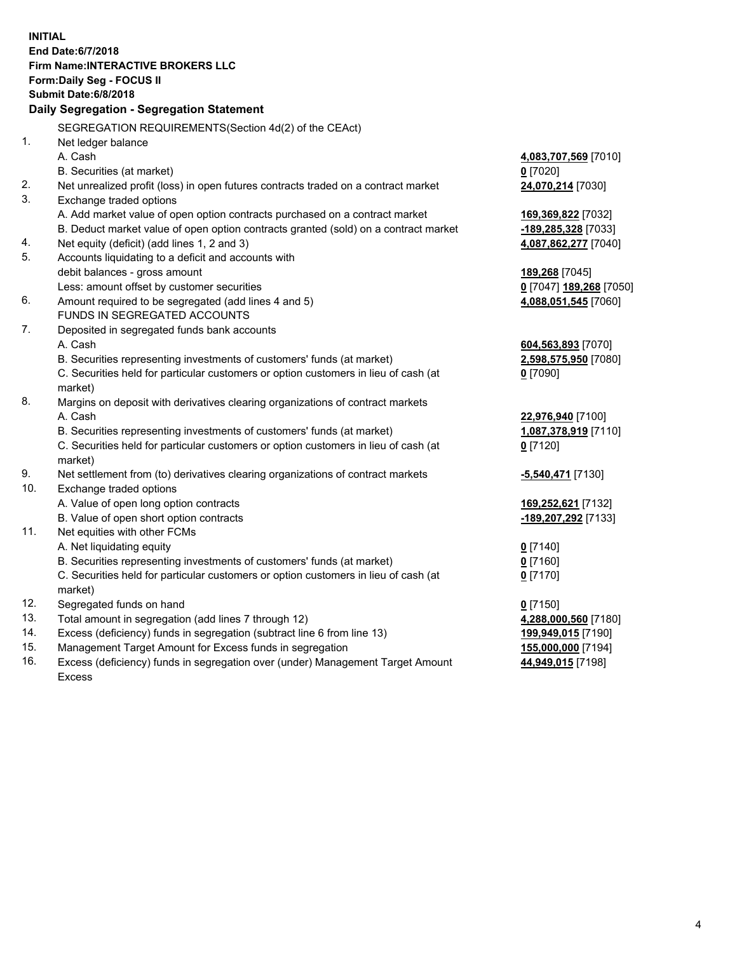**INITIAL End Date:6/7/2018 Firm Name:INTERACTIVE BROKERS LLC Form:Daily Seg - FOCUS II Submit Date:6/8/2018 Daily Segregation - Segregation Statement** SEGREGATION REQUIREMENTS(Section 4d(2) of the CEAct) 1. Net ledger balance A. Cash **4,083,707,569** [7010] B. Securities (at market) **0** [7020] 2. Net unrealized profit (loss) in open futures contracts traded on a contract market **24,070,214** [7030] 3. Exchange traded options A. Add market value of open option contracts purchased on a contract market **169,369,822** [7032] B. Deduct market value of open option contracts granted (sold) on a contract market **-189,285,328** [7033] 4. Net equity (deficit) (add lines 1, 2 and 3) **4,087,862,277** [7040] 5. Accounts liquidating to a deficit and accounts with debit balances - gross amount **189,268** [7045] Less: amount offset by customer securities **0** [7047] **189,268** [7050] 6. Amount required to be segregated (add lines 4 and 5) **4,088,051,545** [7060] FUNDS IN SEGREGATED ACCOUNTS 7. Deposited in segregated funds bank accounts A. Cash **604,563,893** [7070] B. Securities representing investments of customers' funds (at market) **2,598,575,950** [7080] C. Securities held for particular customers or option customers in lieu of cash (at market) **0** [7090] 8. Margins on deposit with derivatives clearing organizations of contract markets A. Cash **22,976,940** [7100] B. Securities representing investments of customers' funds (at market) **1,087,378,919** [7110] C. Securities held for particular customers or option customers in lieu of cash (at market) **0** [7120] 9. Net settlement from (to) derivatives clearing organizations of contract markets **-5,540,471** [7130] 10. Exchange traded options A. Value of open long option contracts **169,252,621** [7132] B. Value of open short option contracts **-189,207,292** [7133] 11. Net equities with other FCMs A. Net liquidating equity **0** [7140] B. Securities representing investments of customers' funds (at market) **0** [7160] C. Securities held for particular customers or option customers in lieu of cash (at market) **0** [7170] 12. Segregated funds on hand **0** [7150] 13. Total amount in segregation (add lines 7 through 12) **4,288,000,560** [7180] 14. Excess (deficiency) funds in segregation (subtract line 6 from line 13) **199,949,015** [7190] 15. Management Target Amount for Excess funds in segregation **155,000,000** [7194]

16. Excess (deficiency) funds in segregation over (under) Management Target Amount Excess

**44,949,015** [7198]